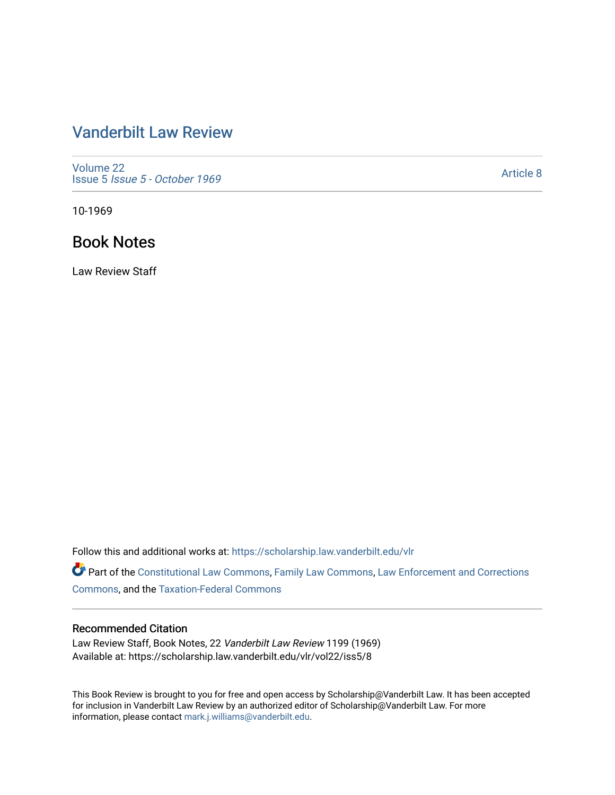## [Vanderbilt Law Review](https://scholarship.law.vanderbilt.edu/vlr)

[Volume 22](https://scholarship.law.vanderbilt.edu/vlr/vol22) Issue 5 [Issue 5 - October 1969](https://scholarship.law.vanderbilt.edu/vlr/vol22/iss5) 

[Article 8](https://scholarship.law.vanderbilt.edu/vlr/vol22/iss5/8) 

10-1969

## Book Notes

Law Review Staff

Follow this and additional works at: [https://scholarship.law.vanderbilt.edu/vlr](https://scholarship.law.vanderbilt.edu/vlr?utm_source=scholarship.law.vanderbilt.edu%2Fvlr%2Fvol22%2Fiss5%2F8&utm_medium=PDF&utm_campaign=PDFCoverPages)

Part of the [Constitutional Law Commons,](http://network.bepress.com/hgg/discipline/589?utm_source=scholarship.law.vanderbilt.edu%2Fvlr%2Fvol22%2Fiss5%2F8&utm_medium=PDF&utm_campaign=PDFCoverPages) [Family Law Commons,](http://network.bepress.com/hgg/discipline/602?utm_source=scholarship.law.vanderbilt.edu%2Fvlr%2Fvol22%2Fiss5%2F8&utm_medium=PDF&utm_campaign=PDFCoverPages) [Law Enforcement and Corrections](http://network.bepress.com/hgg/discipline/854?utm_source=scholarship.law.vanderbilt.edu%2Fvlr%2Fvol22%2Fiss5%2F8&utm_medium=PDF&utm_campaign=PDFCoverPages) [Commons](http://network.bepress.com/hgg/discipline/854?utm_source=scholarship.law.vanderbilt.edu%2Fvlr%2Fvol22%2Fiss5%2F8&utm_medium=PDF&utm_campaign=PDFCoverPages), and the [Taxation-Federal Commons](http://network.bepress.com/hgg/discipline/881?utm_source=scholarship.law.vanderbilt.edu%2Fvlr%2Fvol22%2Fiss5%2F8&utm_medium=PDF&utm_campaign=PDFCoverPages)

## Recommended Citation

Law Review Staff, Book Notes, 22 Vanderbilt Law Review 1199 (1969) Available at: https://scholarship.law.vanderbilt.edu/vlr/vol22/iss5/8

This Book Review is brought to you for free and open access by Scholarship@Vanderbilt Law. It has been accepted for inclusion in Vanderbilt Law Review by an authorized editor of Scholarship@Vanderbilt Law. For more information, please contact [mark.j.williams@vanderbilt.edu](mailto:mark.j.williams@vanderbilt.edu).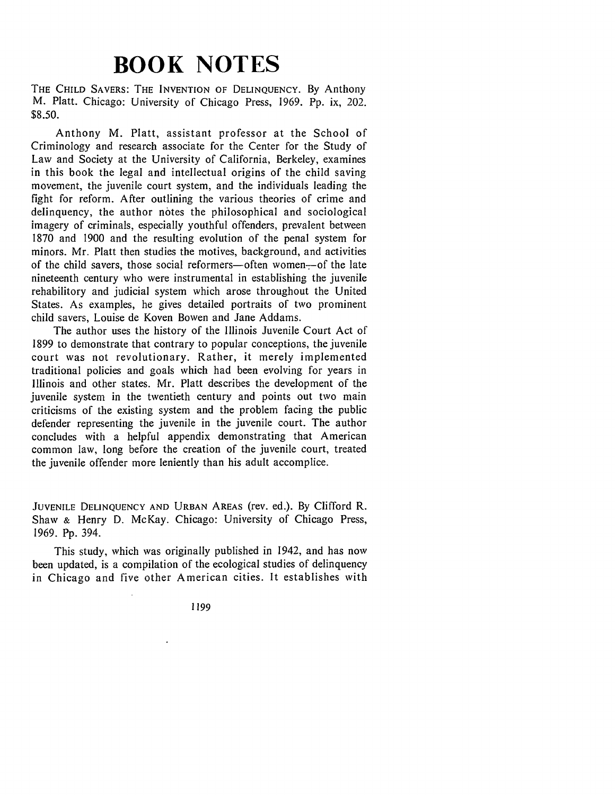## **BOOK NOTES**

THE **CHILD** SAVERS: THE **INVENTION** OF **DELINQUENCY.** By Anthony M. Platt. Chicago: University of Chicago Press, 1969. Pp. ix, 202. \$8.50.

Anthony M. Platt, assistant professor at the School of Criminology and research associate for the Center for the Study of Law and Society at the University of California, Berkeley, examines in this book the legal and intellectual origins of the child saving movement, the juvenile court system, and the individuals leading the fight for reform. After outlining the various theories of crime and delinquency, the author notes the philosophical and sociological imagery of criminals, especially youthful offenders, prevalent between 1870 and 1900 and the resulting evolution of the penal system for minors. Mr. Platt then studies the motives, background, and activities of the child savers, those social reformers-often women--of the late nineteenth century who were instrumental in establishing the juvenile rehabilitory and judicial system which arose throughout the United States. As examples, he gives detailed portraits of two prominent child savers, Louise de Koven Bowen and Jane Addams.

The author uses the history of the Illinois Juvenile Court Act of 1899 to demonstrate that contrary to popular conceptions, the juvenile court was not revolutionary. Rather, it merely implemented traditional policies and goals which had been evolving for years in Illinois and other states. Mr. Platt describes the development of the juvenile system in the twentieth century and points out two main criticisms of the existing system and the problem facing the public defender representing the juvenile in the juvenile court. The author concludes with a helpful appendix demonstrating that American common law, long before the creation of the juvenile court, treated the juvenile offender more leniently than his adult accomplice.

**JUVENILE DELINQUENCY AND URBAN AREAS** (rev. ed.). By Clifford R. Shaw **&** Henry D. McKay. Chicago: University of Chicago Press, 1969. Pp. 394.

This study, which was originally published in 1942, and has now been updated, is a compilation of the ecological studies of delinquency in Chicago and five other American cities. It establishes with

**1199**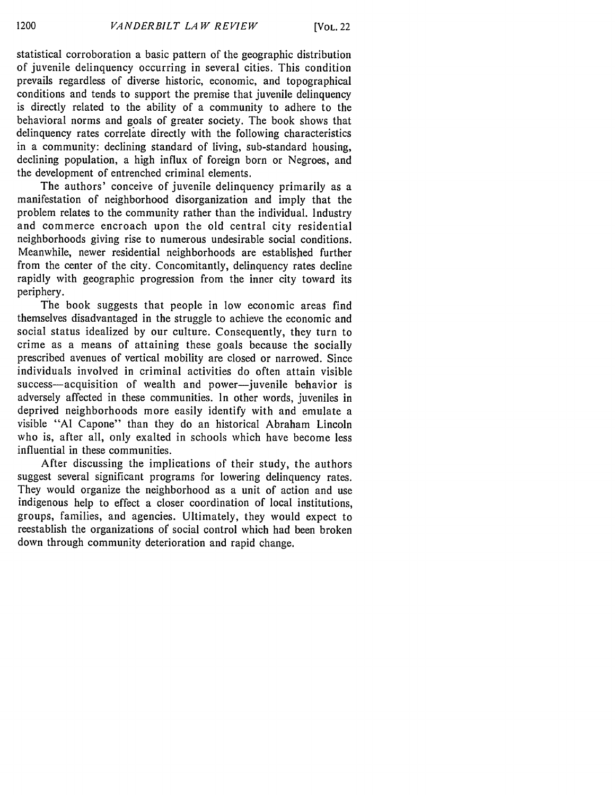statistical corroboration a basic pattern of the geographic distribution of juvenile delinquency occurring in several cities. This condition prevails regardless of diverse historic, economic, and topographical conditions and tends to support the premise that juvenile delinquency is directly related to the ability of a community to adhere to the behavioral norms and goals of greater society. The book shows that delinquency rates correlate directly with the following characteristics in a community: declining standard of living, sub-standard housing, declining population, a high influx of foreign born or Negroes, and the development of entrenched criminal elements.

The authors' conceive of juvenile delinquency primarily as a manifestation of neighborhood disorganization and imply that the problem relates to the community rather than the individual. Industry and commerce encroach upon the old central city residential neighborhoods giving rise to numerous undesirable social conditions. Meanwhile, newer residential neighborhoods are established further from the center of the city. Concomitantly, delinquency rates decline rapidly with geographic progression from the inner city toward its periphery.

The book suggests that people in low economic areas find themselves disadvantaged in the struggle to achieve the economic and social status idealized **by** our culture. Consequently, they turn to crime as a means of attaining these goals because the socially prescribed avenues of vertical mobility are closed or narrowed. Since individuals involved in criminal activities do often attain visible success-acquisition of wealth and power-juvenile behavior is adversely affected in these communities. In other words, juveniles in deprived neighborhoods more easily identify with and emulate a visible **"Al** Capone" than they do an historical Abraham Lincoln who is, after all, only exalted in schools which have become less influential in these communities.

After discussing the implications of their study, the authors suggest several significant programs for lowering delinquency rates. They would organize the neighborhood as a unit of action and use indigenous help to effect a closer coordination of local institutions, groups, families, and agencies. Ultimately, they would expect to reestablish the organizations of social control which had been broken down through community deterioration and rapid change.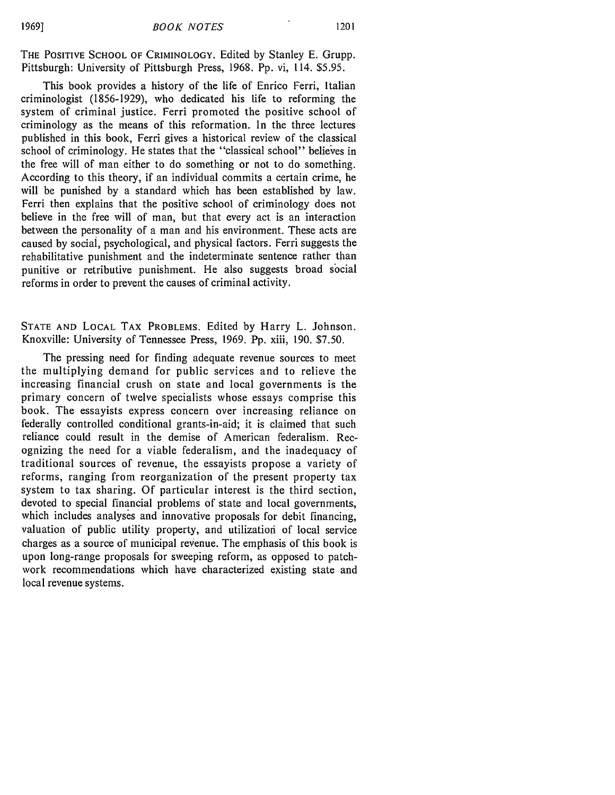THE POSITIVE **SCHOOL** OF CRIMINOLOGY. Edited by Stanley **E.** Grupp. Pittsburgh: University of Pittsburgh Press, 1968. Pp. vi, 114. \$5.95.

This book provides a history of the life of Enrico Ferri, Italian criminologist (1856-1929), who dedicated his life to reforming the system of criminal justice. Ferri promoted the positive school of criminology as the means of this reformation. In the three lectures published in this book, Ferri gives a historical review of the classical school of criminology. He states that the "classical school" believes in the free will of man either to do something or not to do something. According to this theory, if an individual commits a certain crime, he will be punished by a standard which has been established by law. Ferri then explains that the positive school of criminology does not believe in the free will of man, but that every act is an interaction between the personality of a man and his environment. These acts are caused by social, psychological, and physical factors. Ferri suggests the rehabilitative punishment and the indeterminate sentence rather than punitive or retributive punishment. He also suggests broad social reforms in order to prevent the causes of criminal activity.

**STATE AND LOCAL** TAX PROBLEMS. Edited by Harry L. Johnson. Knoxville: University of Tennessee Press, 1969. Pp. xiii, 190. \$7.50.

The pressing need for finding adequate revenue sources to meet the multiplying demand for public services and to relieve the increasing financial crush on state and local governments is the primary concern of twelve specialists whose essays comprise this book. The essayists express concern over increasing reliance on federally controlled conditional grants-in-aid; it is claimed that such reliance could result in the demise of American federalism. Recognizing the need for a viable federalism, and the inadequacy of traditional sources of revenue, the essayists propose a variety of reforms, ranging from reorganization of the present property tax system to tax sharing. Of particular interest is the third section, devoted to special financial problems of state and local governments, which includes analyses and innovative proposals for debit financing, valuation of public utility property, and utilization of local service charges as a source of municipal revenue. The emphasis of this book is upon long-range proposals for sweeping reform, as opposed to patchwork recommendations which have characterized existing state and local revenue systems.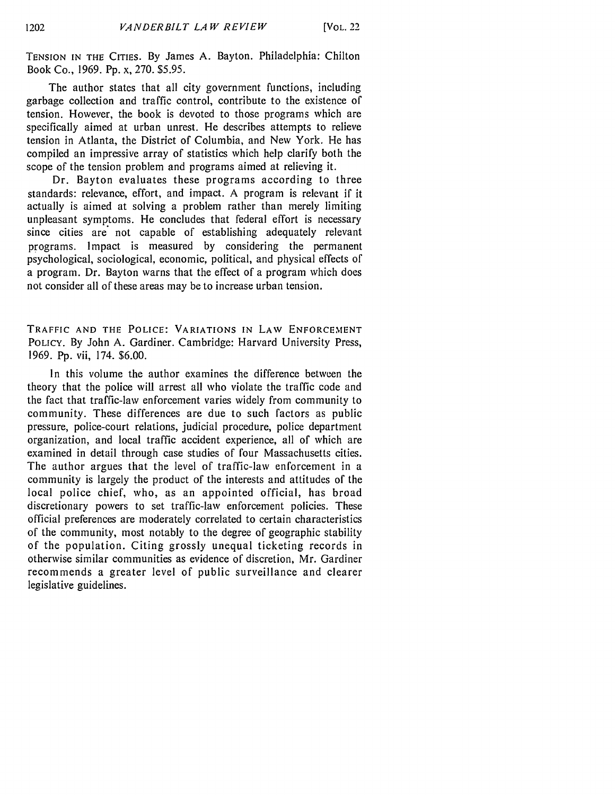**TENSION IN THE CITIES.** By James A. Bayton. Philadelphia: Chilton Book Co., 1969. Pp. x, 270. \$5.95.

The author states that all city government functions, including garbage collection and traffic control, contribute to the existence of tension. However, the book is devoted to those programs which are specifically aimed at urban unrest. He describes attempts to relieve tension in Atlanta, the District of Columbia, and New York. He has compiled an impressive array of statistics which help clarify both the scope of the tension problem and programs aimed at relieving it.

Dr. Bayton evaluates these programs according to three standards: relevance, effort, and impact. A program is relevant if it actually is aimed at solving a problem rather than merely limiting unpleasant symptoms. He concludes that federal effort is necessary since cities are not capable of establishing adequately relevant programs. Impact is measured by considering the permanent psychological, sociological, economic, political, and physical effects of a program. Dr. Bayton warns that the effect of a program which does not consider all of these areas may be to increase urban tension.

TRAFFIC **AND** THE **POLICE: VARIATIONS IN** LAW **ENFORCEMENT** POLICY. By John A. Gardiner. Cambridge: Harvard University Press, 1969. Pp. vii, 174. \$6.00.

In this volume the author examines the difference between the theory that the police will arrest all who violate the traffic code and the fact that traffic-law enforcement varies widely from community to community. These differences are due to such factors as public pressure, police-court relations, judicial procedure, police department organization, and local traffic accident experience, all of which are examined in detail through case studies of four Massachusetts cities. The author argues that the level of traffic-law enforcement in a community is largely the product of the interests and attitudes of the local police chief, who, as an appointed official, has broad discretionary powers to set traffic-law enforcement policies. These official preferences are moderately correlated to certain characteristics of the community, most notably to the degree of geographic stability of the population. Citing grossly unequal ticketing records in otherwise similar communities as evidence of discretion, Mr. Gardiner recommends a greater level of public surveillance and clearer legislative guidelines.